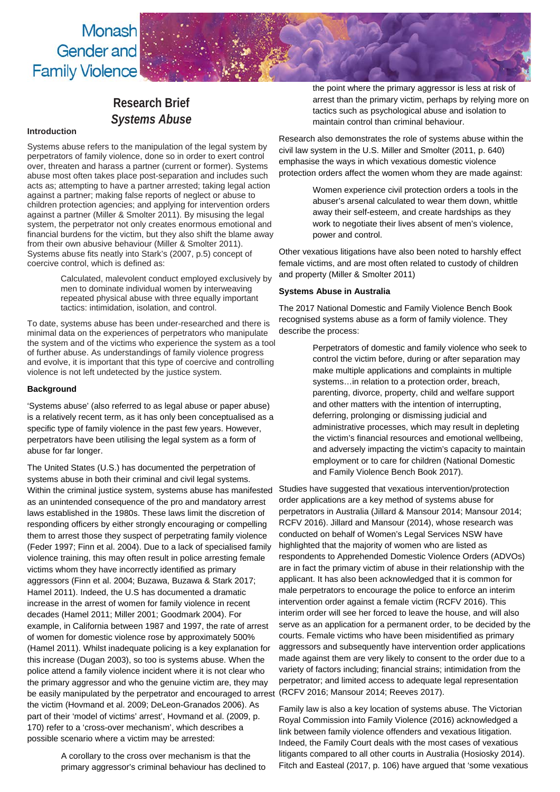Monash Gender and **Family Violence** 

# **Research Brief** *Systems Abuse*

## **Introduction**

Systems abuse refers to the manipulation of the legal system by perpetrators of family violence, done so in order to exert control over, threaten and harass a partner (current or former). Systems abuse most often takes place post-separation and includes such acts as; attempting to have a partner arrested; taking legal action against a partner; making false reports of neglect or abuse to children protection agencies; and applying for intervention orders against a partner (Miller & Smolter 2011). By misusing the legal system, the perpetrator not only creates enormous emotional and financial burdens for the victim, but they also shift the blame away from their own abusive behaviour (Miller & Smolter 2011). Systems abuse fits neatly into Stark's (2007, p.5) concept of coercive control, which is defined as:

> Calculated, malevolent conduct employed exclusively by men to dominate individual women by interweaving repeated physical abuse with three equally important tactics: intimidation, isolation, and control.

To date, systems abuse has been under-researched and there is minimal data on the experiences of perpetrators who manipulate the system and of the victims who experience the system as a tool of further abuse. As understandings of family violence progress and evolve, it is important that this type of coercive and controlling violence is not left undetected by the justice system.

### **Background**

'Systems abuse' (also referred to as legal abuse or paper abuse) is a relatively recent term, as it has only been conceptualised as a specific type of family violence in the past few years. However, perpetrators have been utilising the legal system as a form of abuse for far longer.

The United States (U.S.) has documented the perpetration of systems abuse in both their criminal and civil legal systems. Within the criminal justice system, systems abuse has manifested as an unintended consequence of the pro and mandatory arrest laws established in the 1980s. These laws limit the discretion of responding officers by either strongly encouraging or compelling them to arrest those they suspect of perpetrating family violence (Feder 1997; Finn et al. 2004). Due to a lack of specialised family violence training, this may often result in police arresting female victims whom they have incorrectly identified as primary aggressors (Finn et al. 2004; Buzawa, Buzawa & Stark 2017; Hamel 2011). Indeed, the U.S has documented a dramatic increase in the arrest of women for family violence in recent decades (Hamel 2011; Miller 2001; Goodmark 2004). For example, in California between 1987 and 1997, the rate of arrest of women for domestic violence rose by approximately 500% (Hamel 2011). Whilst inadequate policing is a key explanation for this increase (Dugan 2003), so too is systems abuse. When the police attend a family violence incident where it is not clear who the primary aggressor and who the genuine victim are, they may be easily manipulated by the perpetrator and encouraged to arrest (RCFV 2016; Mansour 2014; Reeves 2017). the victim (Hovmand et al. 2009; DeLeon-Granados 2006). As part of their 'model of victims' arrest', Hovmand et al. (2009, p. 170) refer to a 'cross-over mechanism', which describes a possible scenario where a victim may be arrested:

A corollary to the cross over mechanism is that the primary aggressor's criminal behaviour has declined to the point where the primary aggressor is less at risk of arrest than the primary victim, perhaps by relying more on tactics such as psychological abuse and isolation to maintain control than criminal behaviour.

Research also demonstrates the role of systems abuse within the civil law system in the U.S. Miller and Smolter (2011, p. 640) emphasise the ways in which vexatious domestic violence protection orders affect the women whom they are made against:

> Women experience civil protection orders a tools in the abuser's arsenal calculated to wear them down, whittle away their self-esteem, and create hardships as they work to negotiate their lives absent of men's violence. power and control.

Other vexatious litigations have also been noted to harshly effect female victims, and are most often related to custody of children and property (Miller & Smolter 2011)

#### **Systems Abuse in Australia**

The 2017 National Domestic and Family Violence Bench Book recognised systems abuse as a form of family violence. They describe the process:

> Perpetrators of domestic and family violence who seek to control the victim before, during or after separation may make multiple applications and complaints in multiple systems…in relation to a protection order, breach, parenting, divorce, property, child and welfare support and other matters with the intention of interrupting, deferring, prolonging or dismissing judicial and administrative processes, which may result in depleting the victim's financial resources and emotional wellbeing, and adversely impacting the victim's capacity to maintain employment or to care for children (National Domestic and Family Violence Bench Book 2017).

Studies have suggested that vexatious intervention/protection order applications are a key method of systems abuse for perpetrators in Australia (Jillard & Mansour 2014; Mansour 2014; RCFV 2016). Jillard and Mansour (2014), whose research was conducted on behalf of Women's Legal Services NSW have highlighted that the majority of women who are listed as respondents to Apprehended Domestic Violence Orders (ADVOs) are in fact the primary victim of abuse in their relationship with the applicant. It has also been acknowledged that it is common for male perpetrators to encourage the police to enforce an interim intervention order against a female victim (RCFV 2016). This interim order will see her forced to leave the house, and will also serve as an application for a permanent order, to be decided by the courts. Female victims who have been misidentified as primary aggressors and subsequently have intervention order applications made against them are very likely to consent to the order due to a variety of factors including; financial strains; intimidation from the perpetrator; and limited access to adequate legal representation

Family law is also a key location of systems abuse. The Victorian Royal Commission into Family Violence (2016) acknowledged a link between family violence offenders and vexatious litigation. Indeed, the Family Court deals with the most cases of vexatious litigants compared to all other courts in Australia (Hosiosky 2014). Fitch and Easteal (2017, p. 106) have argued that 'some vexatious